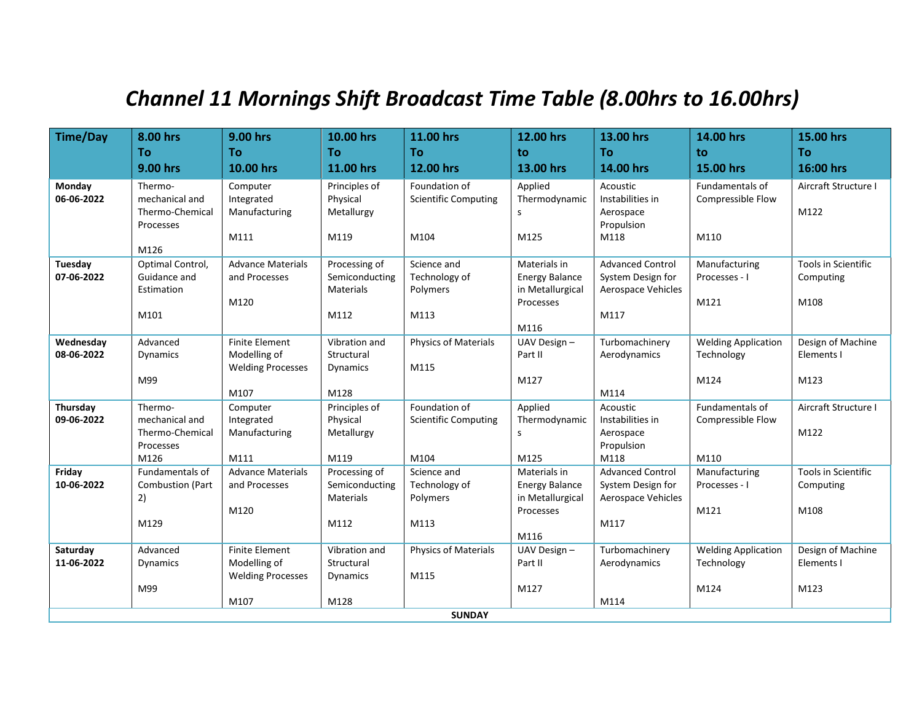## *Channel 11 Mornings Shift Broadcast Time Table (8.00hrs to 16.00hrs)*

| <b>Time/Day</b>      | 8.00 hrs                   | 9.00 hrs                         | 10.00 hrs                          | 11.00 hrs                   | 12.00 hrs                                 | 13.00 hrs                               | 14.00 hrs                      | 15.00 hrs                  |
|----------------------|----------------------------|----------------------------------|------------------------------------|-----------------------------|-------------------------------------------|-----------------------------------------|--------------------------------|----------------------------|
|                      | To                         | To                               | Тο                                 | Τo                          | to                                        | <b>To</b>                               | to                             | <b>To</b>                  |
|                      | 9.00 hrs                   | 10.00 hrs                        | 11.00 hrs                          | 12.00 hrs                   | 13.00 hrs                                 | 14.00 hrs                               | 15.00 hrs                      | 16:00 hrs                  |
| Monday               | Thermo-                    | Computer                         | Principles of                      | Foundation of               | Applied                                   | Acoustic                                | Fundamentals of                | Aircraft Structure I       |
| 06-06-2022           | mechanical and             | Integrated                       | Physical                           | <b>Scientific Computing</b> | Thermodynamic                             | Instabilities in                        | Compressible Flow              |                            |
|                      | Thermo-Chemical            | Manufacturing                    | Metallurgy                         |                             | S                                         | Aerospace                               |                                | M122                       |
|                      | Processes                  |                                  |                                    |                             |                                           | Propulsion                              |                                |                            |
|                      |                            | M111                             | M119                               | M104                        | M125                                      | M118                                    | M110                           |                            |
|                      | M126                       |                                  |                                    |                             |                                           |                                         |                                |                            |
| Tuesday              | Optimal Control,           | <b>Advance Materials</b>         | Processing of                      | Science and                 | Materials in                              | <b>Advanced Control</b>                 | Manufacturing                  | Tools in Scientific        |
| 07-06-2022           | Guidance and<br>Estimation | and Processes                    | Semiconducting<br><b>Materials</b> | Technology of<br>Polymers   | <b>Energy Balance</b><br>in Metallurgical | System Design for<br>Aerospace Vehicles | Processes - I                  | Computing                  |
|                      |                            | M120                             |                                    |                             | Processes                                 |                                         | M121                           | M108                       |
|                      | M101                       |                                  | M112                               | M113                        |                                           | M117                                    |                                |                            |
|                      |                            |                                  |                                    |                             | M116                                      |                                         |                                |                            |
| Wednesday            | Advanced                   | <b>Finite Element</b>            | Vibration and                      | Physics of Materials        | UAV Design -                              | Turbomachinery                          | <b>Welding Application</b>     | Design of Machine          |
| 08-06-2022           | Dynamics                   | Modelling of                     | Structural                         |                             | Part II                                   | Aerodynamics                            | Technology                     | Elements I                 |
|                      |                            | <b>Welding Processes</b>         | <b>Dynamics</b>                    | M115                        |                                           |                                         |                                |                            |
|                      | M99                        |                                  |                                    |                             | M127                                      |                                         | M124                           | M123                       |
|                      |                            | M107                             | M128                               |                             |                                           | M114                                    |                                |                            |
| Thursday             | Thermo-                    | Computer                         | Principles of                      | Foundation of               | Applied                                   | Acoustic                                | Fundamentals of                | Aircraft Structure I       |
| 09-06-2022           | mechanical and             | Integrated                       | Physical                           | <b>Scientific Computing</b> | Thermodynamic                             | Instabilities in                        | Compressible Flow              |                            |
|                      | Thermo-Chemical            | Manufacturing                    | Metallurgy                         |                             | S                                         | Aerospace                               |                                | M122                       |
|                      | Processes<br>M126          |                                  | M119                               | M104                        | M125                                      | Propulsion<br>M118                      | M110                           |                            |
|                      | Fundamentals of            | M111<br><b>Advance Materials</b> |                                    | Science and                 | Materials in                              | <b>Advanced Control</b>                 |                                | <b>Tools in Scientific</b> |
| Friday<br>10-06-2022 | <b>Combustion (Part</b>    | and Processes                    | Processing of<br>Semiconducting    | Technology of               | <b>Energy Balance</b>                     | System Design for                       | Manufacturing<br>Processes - I | Computing                  |
|                      | 2)                         |                                  | <b>Materials</b>                   | Polymers                    | in Metallurgical                          | Aerospace Vehicles                      |                                |                            |
|                      |                            | M120                             |                                    |                             | Processes                                 |                                         | M121                           | M108                       |
|                      | M129                       |                                  | M112                               | M113                        |                                           | M117                                    |                                |                            |
|                      |                            |                                  |                                    |                             | M116                                      |                                         |                                |                            |
| Saturday             | Advanced                   | <b>Finite Element</b>            | Vibration and                      | <b>Physics of Materials</b> | UAV Design -                              | Turbomachinery                          | <b>Welding Application</b>     | Design of Machine          |
| 11-06-2022           | Dynamics                   | Modelling of                     | Structural                         |                             | Part II                                   | Aerodynamics                            | Technology                     | Elements I                 |
|                      |                            | <b>Welding Processes</b>         | <b>Dynamics</b>                    | M115                        |                                           |                                         |                                |                            |
|                      | M99                        |                                  |                                    |                             | M127                                      |                                         | M124                           | M123                       |
|                      |                            | M107                             | M128                               |                             |                                           | M114                                    |                                |                            |
| <b>SUNDAY</b>        |                            |                                  |                                    |                             |                                           |                                         |                                |                            |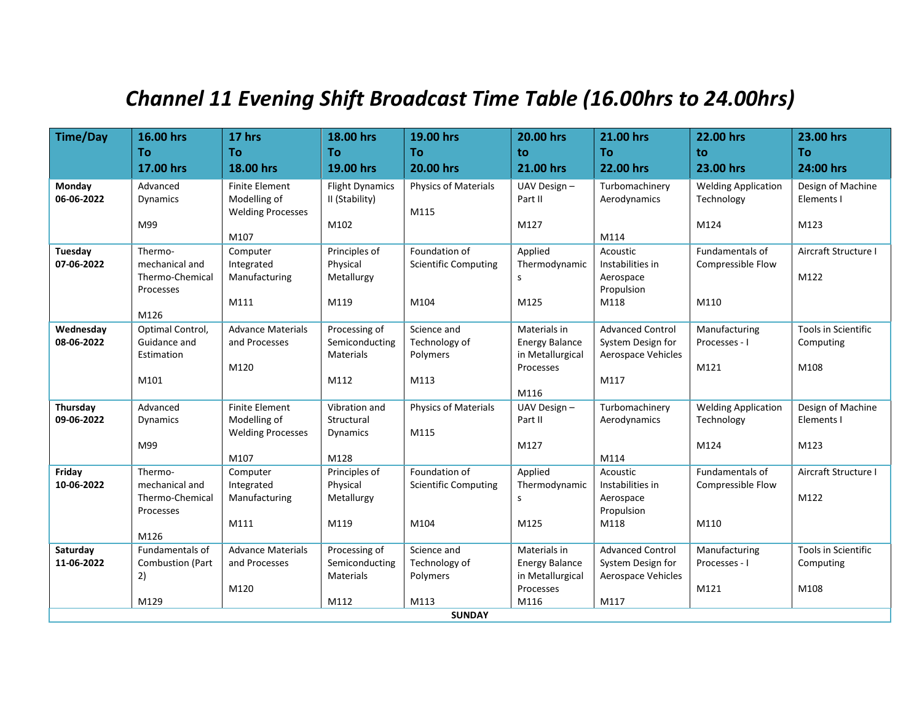## *Channel 11 Evening Shift Broadcast Time Table (16.00hrs to 24.00hrs)*

| <b>Time/Day</b>         | 16.00 hrs                        | 17 hrs                                    | 18.00 hrs                       | 19.00 hrs                    | 20.00 hrs                             | 21.00 hrs                                    | 22.00 hrs                      | 23.00 hrs                               |
|-------------------------|----------------------------------|-------------------------------------------|---------------------------------|------------------------------|---------------------------------------|----------------------------------------------|--------------------------------|-----------------------------------------|
|                         | To                               | To                                        | To                              | <b>To</b>                    | to                                    | <b>To</b>                                    | to                             | <b>To</b>                               |
|                         | 17.00 hrs                        | 18.00 hrs                                 | 19.00 hrs                       | 20.00 hrs                    | 21.00 hrs                             | 22.00 hrs                                    | 23.00 hrs                      | 24:00 hrs                               |
| Monday                  | Advanced                         | <b>Finite Element</b>                     | <b>Flight Dynamics</b>          | <b>Physics of Materials</b>  | UAV Design-                           | Turbomachinery                               | <b>Welding Application</b>     | Design of Machine                       |
| 06-06-2022              | <b>Dynamics</b>                  | Modelling of                              | II (Stability)                  |                              | Part II                               | Aerodynamics                                 | Technology                     | Elements I                              |
|                         |                                  | <b>Welding Processes</b>                  |                                 | M115                         |                                       |                                              |                                |                                         |
|                         | M99                              | M107                                      | M102                            |                              | M127                                  | M114                                         | M124                           | M123                                    |
| Tuesday                 | Thermo-                          | Computer                                  | Principles of                   | Foundation of                | Applied                               | Acoustic                                     | <b>Fundamentals of</b>         | Aircraft Structure I                    |
| 07-06-2022              | mechanical and                   | Integrated                                | Physical                        | <b>Scientific Computing</b>  | Thermodynamic                         | Instabilities in                             | Compressible Flow              |                                         |
|                         | Thermo-Chemical                  | Manufacturing                             | Metallurgy                      |                              | S                                     | Aerospace                                    |                                | M122                                    |
|                         | Processes                        |                                           |                                 |                              |                                       | Propulsion                                   |                                |                                         |
|                         |                                  | M111                                      | M119                            | M104                         | M125                                  | M118                                         | M110                           |                                         |
|                         | M126                             |                                           |                                 |                              |                                       |                                              |                                |                                         |
| Wednesday<br>08-06-2022 | Optimal Control,<br>Guidance and | <b>Advance Materials</b><br>and Processes | Processing of<br>Semiconducting | Science and<br>Technology of | Materials in<br><b>Energy Balance</b> | <b>Advanced Control</b><br>System Design for | Manufacturing<br>Processes - I | <b>Tools in Scientific</b><br>Computing |
|                         | Estimation                       |                                           | <b>Materials</b>                | Polymers                     | in Metallurgical                      | Aerospace Vehicles                           |                                |                                         |
|                         |                                  | M120                                      |                                 |                              | Processes                             |                                              | M121                           | M108                                    |
|                         | M101                             |                                           | M112                            | M113                         |                                       | M117                                         |                                |                                         |
|                         |                                  |                                           |                                 |                              | M116                                  |                                              |                                |                                         |
| Thursday                | Advanced                         | <b>Finite Element</b>                     | Vibration and                   | Physics of Materials         | UAV Design-                           | Turbomachinery                               | <b>Welding Application</b>     | Design of Machine                       |
| 09-06-2022              | <b>Dynamics</b>                  | Modelling of                              | Structural                      |                              | Part II                               | Aerodynamics                                 | Technology                     | Elements I                              |
|                         | M99                              | <b>Welding Processes</b>                  | <b>Dynamics</b>                 | M115                         | M127                                  |                                              | M124                           | M123                                    |
|                         |                                  | M107                                      | M128                            |                              |                                       | M114                                         |                                |                                         |
| Friday                  | Thermo-                          | Computer                                  | Principles of                   | Foundation of                | Applied                               | Acoustic                                     | Fundamentals of                | Aircraft Structure I                    |
| 10-06-2022              | mechanical and                   | Integrated                                | Physical                        | <b>Scientific Computing</b>  | Thermodynamic                         | Instabilities in                             | Compressible Flow              |                                         |
|                         | Thermo-Chemical                  | Manufacturing                             | Metallurgy                      |                              | s                                     | Aerospace                                    |                                | M122                                    |
|                         | Processes                        |                                           |                                 |                              |                                       | Propulsion                                   |                                |                                         |
|                         |                                  | M111                                      | M119                            | M104                         | M125                                  | M118                                         | M110                           |                                         |
| Saturday                | M126<br>Fundamentals of          | <b>Advance Materials</b>                  | Processing of                   | Science and                  | Materials in                          | <b>Advanced Control</b>                      | Manufacturing                  | Tools in Scientific                     |
| 11-06-2022              | <b>Combustion (Part</b>          | and Processes                             | Semiconducting                  | Technology of                | <b>Energy Balance</b>                 | System Design for                            | Processes - I                  | Computing                               |
|                         | 2)                               |                                           | Materials                       | Polymers                     | in Metallurgical                      | Aerospace Vehicles                           |                                |                                         |
|                         |                                  | M120                                      |                                 |                              | Processes                             |                                              | M121                           | M108                                    |
|                         | M129                             |                                           | M112                            | M113                         | M116                                  | M117                                         |                                |                                         |
| <b>SUNDAY</b>           |                                  |                                           |                                 |                              |                                       |                                              |                                |                                         |